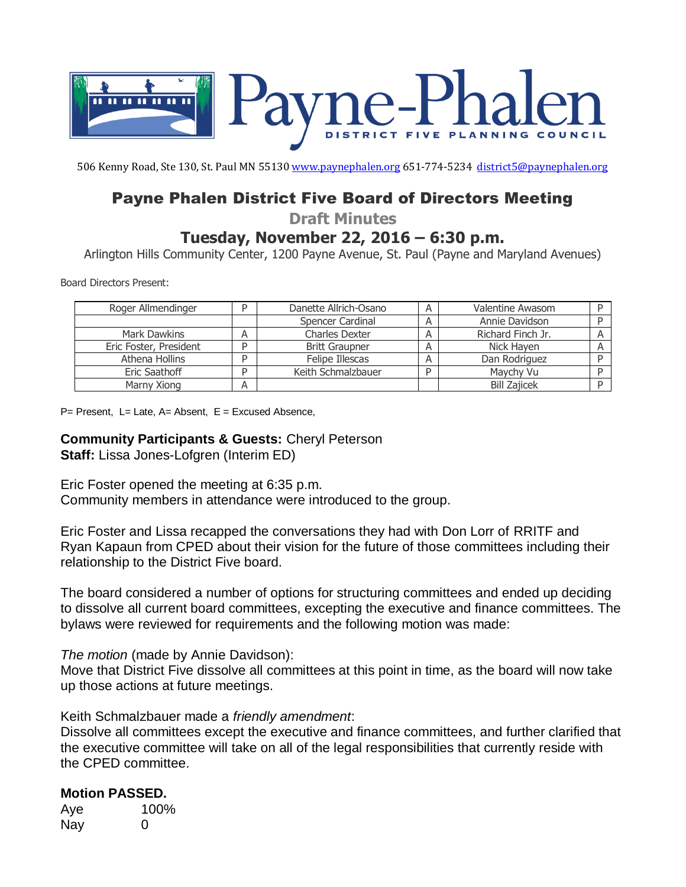

506 Kenny Road, Ste 130, St. Paul MN 5513[0 www.paynephalen.org](http://www.paynephalen.org/) 651-774-5234 [district5@paynephalen.org](mailto:district5@paynephalen.org)

# Payne Phalen District Five Board of Directors Meeting

**Draft Minutes**

# **Tuesday, November 22, 2016 – 6:30 p.m.**

Arlington Hills Community Center, 1200 Payne Avenue, St. Paul (Payne and Maryland Avenues)

Board Directors Present:

| Roger Allmendinger     | D | Danette Allrich-Osano | Α | Valentine Awasom    |  |
|------------------------|---|-----------------------|---|---------------------|--|
|                        |   | Spencer Cardinal      |   | Annie Davidson      |  |
| Mark Dawkins           |   | <b>Charles Dexter</b> |   | Richard Finch Jr.   |  |
| Eric Foster, President | D | Britt Graupner        |   | Nick Hayen          |  |
| Athena Hollins         | D | Felipe Illescas       |   | Dan Rodriguez       |  |
| Eric Saathoff          | D | Keith Schmalzbauer    | D | Maychy Vu           |  |
| Marny Xiong            |   |                       |   | <b>Bill Zajicek</b> |  |

P= Present, L= Late, A= Absent, E = Excused Absence,

#### **Community Participants & Guests:** Cheryl Peterson **Staff:** Lissa Jones-Lofgren (Interim ED)

Eric Foster opened the meeting at 6:35 p.m. Community members in attendance were introduced to the group.

Eric Foster and Lissa recapped the conversations they had with Don Lorr of RRITF and Ryan Kapaun from CPED about their vision for the future of those committees including their relationship to the District Five board.

The board considered a number of options for structuring committees and ended up deciding to dissolve all current board committees, excepting the executive and finance committees. The bylaws were reviewed for requirements and the following motion was made:

## *The motion* (made by Annie Davidson):

Move that District Five dissolve all committees at this point in time, as the board will now take up those actions at future meetings.

#### Keith Schmalzbauer made a *friendly amendment*:

Dissolve all committees except the executive and finance committees, and further clarified that the executive committee will take on all of the legal responsibilities that currently reside with the CPED committee.

## **Motion PASSED.**

Aye 100% Nay 0